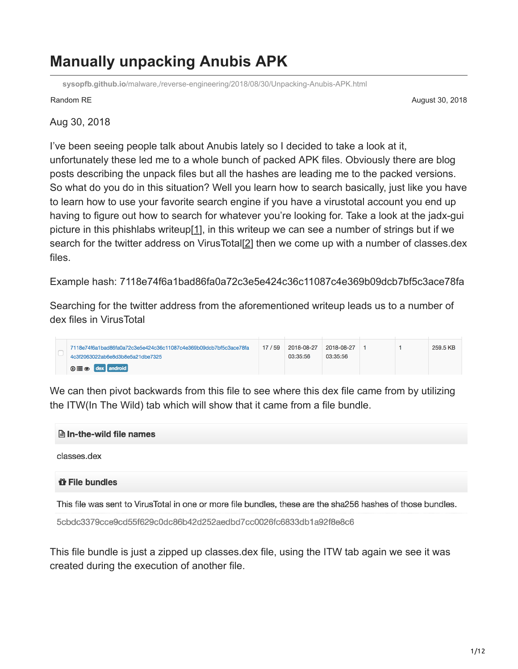## **Manually unpacking Anubis APK**

**sysopfb.github.io**[/malware,/reverse-engineering/2018/08/30/Unpacking-Anubis-APK.html](https://sysopfb.github.io/malware,/reverse-engineering/2018/08/30/Unpacking-Anubis-APK.html)

Random RE **August 30, 2018 August 30, 2018** 

Aug 30, 2018

I've been seeing people talk about Anubis lately so I decided to take a look at it, unfortunately these led me to a whole bunch of packed APK files. Obviously there are blog posts describing the unpack files but all the hashes are leading me to the packed versions. So what do you do in this situation? Well you learn how to search basically, just like you have to learn how to use your favorite search engine if you have a virustotal account you end up having to figure out how to search for whatever you're looking for. Take a look at the jadx-gui picture in this phishlabs writeup[[1\]](https://info.phishlabs.com/blog/bankbot-anubis-threat-upgrade), in this writeup we can see a number of strings but if we search for the twitter address on VirusTotal[[2](https://www.virustotal.com/#/intelligence-overview)] then we come up with a number of classes.dex files.

Example hash: 7118e74f6a1bad86fa0a72c3e5e424c36c11087c4e369b09dcb7bf5c3ace78fa

Searching for the twitter address from the aforementioned writeup leads us to a number of dex files in VirusTotal

| 7118e74f6a1bad86fa0a72c3e5e424c36c11087c4e369b09dcb7bf5c3ace78fa<br>4c3f2063022ab6e8d3b8e5a21dbe7325 | 17 / 59 | 2018-08-27<br>03:35:56 | 2018-08-27<br>03:35:56 |  | 259.5 KB |
|------------------------------------------------------------------------------------------------------|---------|------------------------|------------------------|--|----------|
| $\odot \equiv \circledcirc$ dex android                                                              |         |                        |                        |  |          |

We can then pivot backwards from this file to see where this dex file came from by utilizing the ITW(In The Wild) tab which will show that it came from a file bundle.

**A** In-the-wild file names

classes.dex

## *u* File bundles

This file was sent to VirusTotal in one or more file bundles, these are the sha256 hashes of those bundles.

5cbdc3379cce9cd55f629c0dc86b42d252aedbd7cc0026fc6833db1a92f8e8c6

This file bundle is just a zipped up classes.dex file, using the ITW tab again we see it was created during the execution of another file.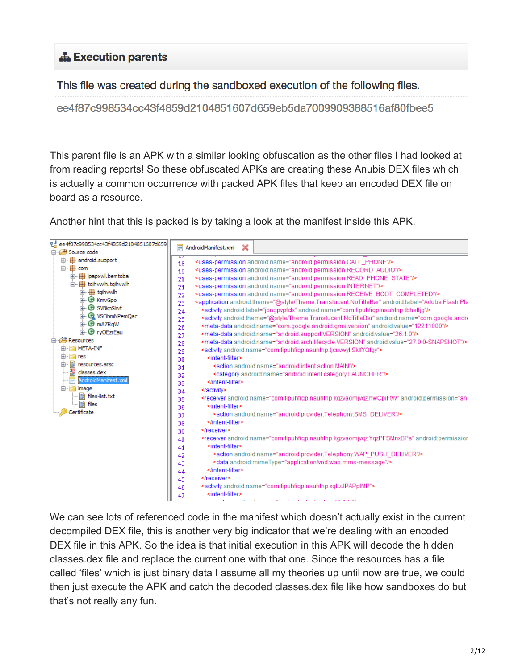## **A** Execution parents

This file was created during the sandboxed execution of the following files.

ee4f87c998534cc43f4859d2104851607d659eb5da7009909388516af80fbee5

This parent file is an APK with a similar looking obfuscation as the other files I had looked at from reading reports! So these obfuscated APKs are creating these Anubis DEX files which is actually a common occurrence with packed APK files that keep an encoded DEX file on board as a resource.

Another hint that this is packed is by taking a look at the manifest inside this APK.



We can see lots of referenced code in the manifest which doesn't actually exist in the current decompiled DEX file, this is another very big indicator that we're dealing with an encoded DEX file in this APK. So the idea is that initial execution in this APK will decode the hidden classes.dex file and replace the current one with that one. Since the resources has a file called 'files' which is just binary data I assume all my theories up until now are true, we could then just execute the APK and catch the decoded classes.dex file like how sandboxes do but that's not really any fun.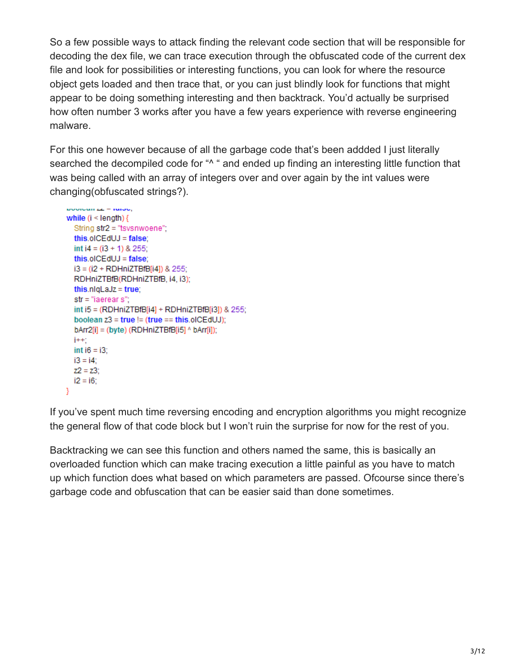So a few possible ways to attack finding the relevant code section that will be responsible for decoding the dex file, we can trace execution through the obfuscated code of the current dex file and look for possibilities or interesting functions, you can look for where the resource object gets loaded and then trace that, or you can just blindly look for functions that might appear to be doing something interesting and then backtrack. You'd actually be surprised how often number 3 works after you have a few years experience with reverse engineering malware.

For this one however because of all the garbage code that's been addded I just literally searched the decompiled code for "<sup>^</sup> " and ended up finding an interesting little function that was being called with an array of integers over and over again by the int values were changing(obfuscated strings?).

```
poologii zz – ruibo,
while (i < length) {
  String str2 = "tsvsnwoene";
  this.olCEdUJ = false:
  int i4 = (i3 + 1) & 255;
  this.olCEdUJ = falsei3 = (i2 + RDHniZTBfB[i4]) & 255;
  RDHniZTBfB(RDHniZTBfB, i4, i3);
  this.nlqLaJz = true;
  str = "iaerear s";int i5 = (RDHniZTBfB[i4] + RDHniZTBfB[i3]) & 255;
  boolean z3 = true != (true == this.olCEdUJ);
  bArr2[i] = (byte) (RDHniZTBfB[i5] ^ bArr1[i]);j++int i6 = i3:
  i3 = i4;
  Z2 = Z3;
  i2 = i6;
Y
```
If you've spent much time reversing encoding and encryption algorithms you might recognize the general flow of that code block but I won't ruin the surprise for now for the rest of you.

Backtracking we can see this function and others named the same, this is basically an overloaded function which can make tracing execution a little painful as you have to match up which function does what based on which parameters are passed. Ofcourse since there's garbage code and obfuscation that can be easier said than done sometimes.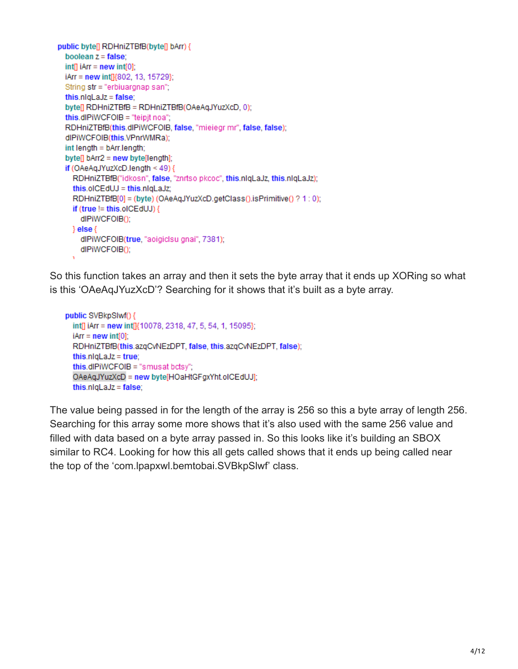```
public byte[] RDHniZTBfB(byte[] bArr) {
  boolean z = false;
  int[ln(1) + ln(1) + ln(1)]iArr = new int[]{802, 13, 15729};
  String str = "erbiuargnap san";
  this.nlqLaJz = false;
  byte[] RDHniZTBfB = RDHniZTBfB(OAeAqJYuzXcD, 0);
  this.dlPiWCFOIB = "teipjt noa";
  RDHniZTBfB(this.dlPiWCFOIB, false, "mieiegr mr", false, false);
  dlPiWCFOIB(this.VPnrWMRa);
  int length = bArr.length;
  byte[] bArr2 = new byte[length];if (OAeAqJYuzXcD.length < 49) {
    RDHniZTBfB("idkosn", false, "znrtso pkcoc", this.nlqLaJz, this.nlqLaJz);
    this.olCEdUJ = this.nlqLaJz;
    RDHniZTBfB[0] = (byte) (OAeAqJYuzXcD.getClass().isPrimitive() ? 1 : 0);
    if (true != this.olCEdUJ) {
      dlPiWCFOIB();
    \}else\{dlPiWCFOIB(true, "aoigiclsu gnai", 7381);
      dlPiWCFOIB();
```
So this function takes an array and then it sets the byte array that it ends up XORing so what is this 'OAeAqJYuzXcD'? Searching for it shows that it's built as a byte array.

```
public SVBkpSlwf() {
 int[] iArr = new int[]{10078, 2318, 47, 5, 54, 1, 15095};
 iArr = new int[0];RDHniZTBfB(this.azqCvNEzDPT, false, this.azqCvNEzDPT, false);
 this.nlqLaJz = true;
 this.dlPiWCFOIB = "smusat bctsy";
 OAeAqJYuzXcD = new byte[HOaHtGFgxYht.olCEdUJ];
 this.nlqLaJz = false;
```
The value being passed in for the length of the array is 256 so this a byte array of length 256. Searching for this array some more shows that it's also used with the same 256 value and filled with data based on a byte array passed in. So this looks like it's building an SBOX similar to RC4. Looking for how this all gets called shows that it ends up being called near the top of the 'com.lpapxwl.bemtobai.SVBkpSlwf' class.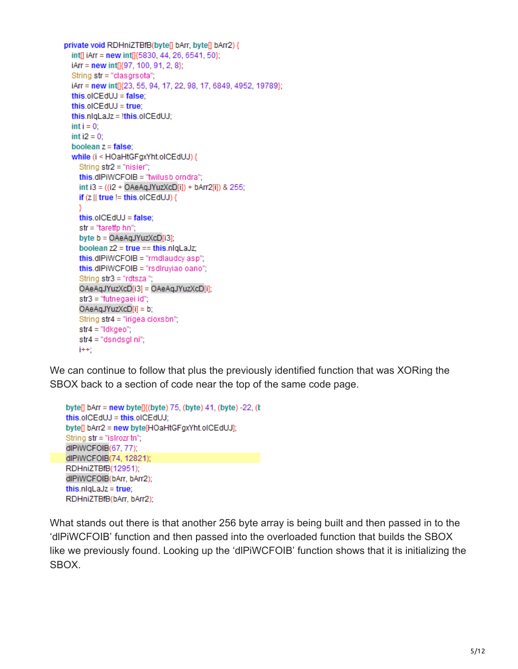```
private void RDHniZTBfB(byte[] bArr, byte[] bArr2) {
  int[] iArr = new int[]{5830, 44, 26, 6541, 50};
  iArr = new int[]{97, 100, 91, 2, 8};
  String str = "clasgrsota";
  iArr = new int[]{23, 55, 94, 17, 22, 98, 17, 6849, 4952, 19789};
  this.olCEdUJ = false;
  this.olCEdUJ = true;
  this.nlqLaJz = !this.olCEdUJ;
  int i = 0;
  int i2 = 0:
  boolean z = false;
  while (i < HOaHtGFgxYht.olCEdUJ) {
    String str2 = "nisier";this.dlPiWCFOIB = "twilusb orndra";
    int i3 = ((i2 + OAeAqJYuzXcD[i]) + bArr2[i]) & 255;
    if (z \parallel true \equiv this of \subset EdUJ) {
    Ŋ
    this.olCEdUJ = false;
    str = "tareffp h<sub>n</sub>";
    byte b = OAeAqJYuzXcD[i3];
    boolean z2 = true == this.nlqLaJz;
    this.dlPiWCFOIB = "rmdlaudcy asp";
    this.dlPiWCFOIB = "rsdlruyiao oano";
    String str3 = "rdtsza";OAeAqJYuzXcD[i3] = OAeAqJYuzXcD[i];
    str3 = "futnegaei id":
    OAeAqJYuzXcD[i] = b;String str4 = "irigea cioxsbn";
    str4 = "ldkgeo";str4 = "dsndsgl ni";
    j++
```
We can continue to follow that plus the previously identified function that was XORing the SBOX back to a section of code near the top of the same code page.

```
byte[] bArr = new byte[]{(byte) 75, (byte) 41, (byte) -22, (t
this.olCEdUJ = this.olCEdUJ;
byte[] bArr2 = new byte[HOaHtGFgxYht.olCEdUJ];
String str = "islrozr tn";
dlPiWCFOIB(67, 77);
dlPiWCFOIB(74, 12821);
RDHniZTBfB(12951);
dlPiWCFOIB(bArr, bArr2);
this.nlqLaJz = true;
RDHniZTBfB(bArr, bArr2);
```
What stands out there is that another 256 byte array is being built and then passed in to the 'dlPiWCFOIB' function and then passed into the overloaded function that builds the SBOX like we previously found. Looking up the 'dlPiWCFOIB' function shows that it is initializing the SBOX.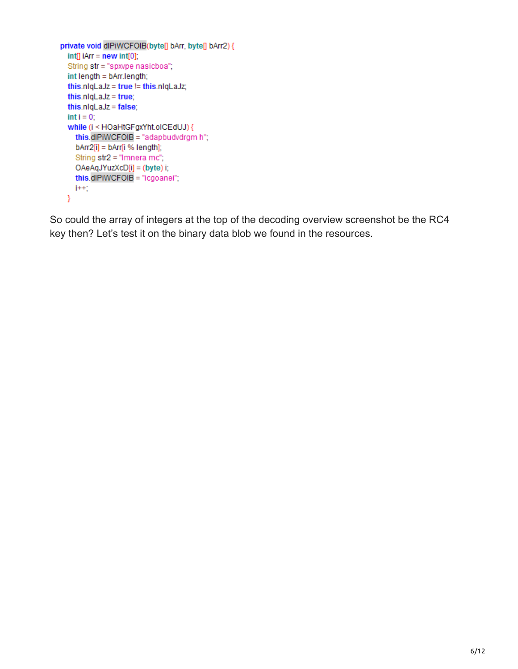```
private void dlPiWCFOIB(byte[] bArr, byte[] bArr2) {
  int[] iArr = new int[0];
  String str = "spxvpe nasicboa";
  int length = bArr.length;this.nlqLaJz = true != this.nlqLaJz;
  this.nlqLaJz = true;
  this.nlqLaJz = false;
  int i = 0;while (i < HOaHtGFgxYht.olCEdUJ) {
    this.dlPiWCFOIB = "adapbudvdrgm h";
    bArr2[i] = bArr[i % length];
    String str2 = "Imnera mc";
    OAeAqJYuzXcD[i] = (byte) i;
    this.dlPiWCFOIB = "icgoanei";
    j++Y
```
So could the array of integers at the top of the decoding overview screenshot be the RC4 key then? Let's test it on the binary data blob we found in the resources.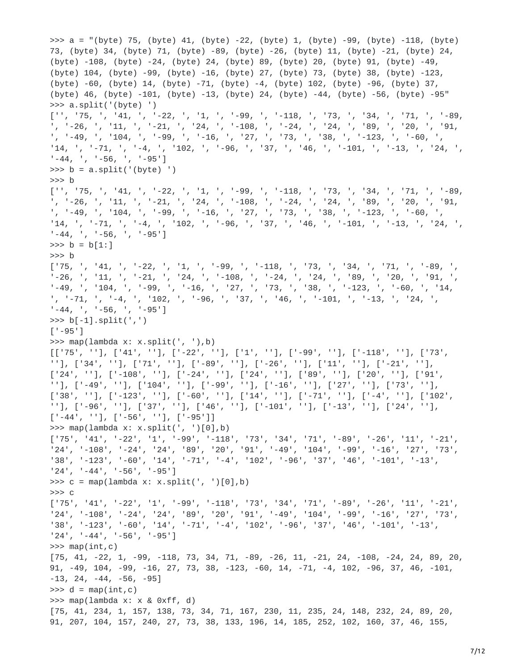>>> a = "(byte) 75, (byte) 41, (byte) -22, (byte) 1, (byte) -99, (byte) -118, (byte) 73, (byte) 34, (byte) 71, (byte) -89, (byte) -26, (byte) 11, (byte) -21, (byte) 24, (byte) -108, (byte) -24, (byte) 24, (byte) 89, (byte) 20, (byte) 91, (byte) -49, (byte) 104, (byte) -99, (byte) -16, (byte) 27, (byte) 73, (byte) 38, (byte) -123, (byte) -60, (byte) 14, (byte) -71, (byte) -4, (byte) 102, (byte) -96, (byte) 37, (byte) 46, (byte) -101, (byte) -13, (byte) 24, (byte) -44, (byte) -56, (byte) -95" >>> a.split('(byte) ') ['', '75, ', '41, ', '-22, ', '1, ', '-99, ', '-118, ', '73, ', '34, ', '71, ', '-89, ', '-26, ', '11, ', '-21, ', '24, ', '-108, ', '-24, ', '24, ', '89, ', '20, ', '91, ', '-49, ', '104, ', '-99, ', '-16, ', '27, ', '73, ', '38, ', '-123, ', '-60, ', '14, ', '-71, ', '-4, ', '102, ', '-96, ', '37, ', '46, ', '-101, ', '-13, ', '24, ', '-44, ', '-56, ', '-95']  $\Rightarrow$  b = a.split('(byte) ') >>> b  $[''', '75', ', '41, ', '-22, ', '1', ', '-99, ', '-118, ', '73, ', '34, ', '71, ', '-89, ', '-26, ', '11, ', '-21, ', '24, ', '-108, ', '-24, ', '24, ', '89, ', '20, ', '91,$ ', '-26, ', '11, ', '-21, ', '24, ', '-108, ', '-24, ', '24, ', '89, ', '20, ', '91, ', '-49, ', '104, ', '-99, ', '-16, ', '27, ', '73, ', '38, ', '-123, ', '-60, ', '14, ', '-71, ', '-4, ', '102, ', '-96, ', '37, ', '46, ', '-101, ', '-13, ', '24, ', '-44, ', '-56, ', '-95']  $\Rightarrow$  b = b[1:] >>> b ['75, ', '41, ', '-22, ', '1, ', '-99, ', '-118, ', '73, ', '34, ', '71, ', '-89, ', , '11, ', '-21, ', '24, ', '-108, ', '-24, ', '24, ', '89, ', '20, ', '91, ' '-49, ', '104, ', '-99, ', '-16, ', '27, ', '73, ', '38, ', '-123, ', '-60, ', '14, ', '-71, ', '-4, ', '102, ', '-96, ', '37, ', '46, ', '-101, ', '-13, ', '24, ', '-44, ', '-56, ', '-95'] >>> b[-1].split(',')  $[ ' -95' ]$ >>> map(lambda x: x.split(', '),b)  $[['75', ''], ['41', ''], ['-22', ''], ['1', ''], ['-99', ''], ['-118', ''], ['73',$ ''], ['34', ''], ['71', ''], ['-89', ''], ['-26', ''], ['11', ''], ['-21', ''],  $[ '24', ' ' ], ' [ ' -108', ' ' ], ' [ ' -24', ' ' ], ' [ '24', ' ' ], ' [ '89', ' ' ], ' [ '20', ' ' ], ' [ '91',$ ''], ['-49', ''], ['104', ''], ['-99', ''], ['-16', ''], ['27', ''], ['73', ''], ['38', ''], ['-123', ''], ['-60', ''], ['14', ''], ['-71', ''], ['-4', ''], ['102', ''], ['-96', ''], ['37', ''], ['46', ''], ['-101', ''], ['-13', ''], ['24', ''], ['-44', ''], ['-56', ''], ['-95']] >>> map(lambda x: x.split(', ')[0],b) ['75', '41', '-22', '1', '-99', '-118', '73', '34', '71', '-89', '-26', '11', '-21', '24', '-108', '-24', '24', '89', '20', '91', '-49', '104', '-99', '-16', '27', '73', '38', '-123', '-60', '14', '-71', '-4', '102', '-96', '37', '46', '-101', '-13', '24', '-44', '-56', '-95']  $\Rightarrow$  c = map(lambda x: x.split(', ')[0],b) >>> c ['75', '41', '-22', '1', '-99', '-118', '73', '34', '71', '-89', '-26', '11', '-21', '24', '-108', '-24', '24', '89', '20', '91', '-49', '104', '-99', '-16', '27', '73', '38', '-123', '-60', '14', '-71', '-4', '102', '-96', '37', '46', '-101', '-13', '24', '-44', '-56', '-95']  $\gg$  map(int,c) [75, 41, -22, 1, -99, -118, 73, 34, 71, -89, -26, 11, -21, 24, -108, -24, 24, 89, 20, 91, -49, 104, -99, -16, 27, 73, 38, -123, -60, 14, -71, -4, 102, -96, 37, 46, -101,  $-13, 24, -44, -56, -95$  $\Rightarrow$  d = map(int,c) >>> map(lambda x: x & 0xff, d) [75, 41, 234, 1, 157, 138, 73, 34, 71, 167, 230, 11, 235, 24, 148, 232, 24, 89, 20, 91, 207, 104, 157, 240, 27, 73, 38, 133, 196, 14, 185, 252, 102, 160, 37, 46, 155,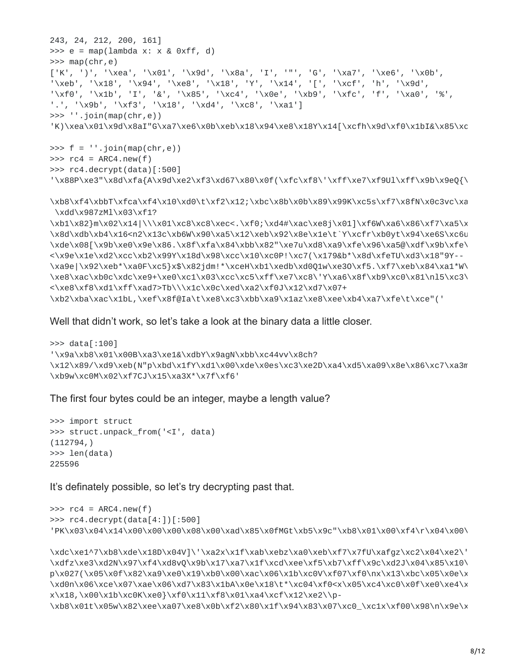```
243, 24, 212, 200, 161]
\Rightarrow >> e = map(lambda x: x & 0xff, d)
\gg map(chr,e)
['K', ')', '\xea', '\x01', '\x9d', '\x8a', 'I', '"', 'G', '\xa7', '\xe6', '\x0b',
'\xeb', '\x18', '\x94', '\xe8', '\x18', 'Y', '\x14', '[', '\xcf', 'h', '\x9d',
'\xf0', '\x1b', 'I', '&', '\x85', '\xc4', '\x0e', '\xb9', '\xfc', 'f', '\xa0', '%',
'.', '\x9b', '\xf3', '\x18', '\xd4', '\xc8', '\xa1']
>>> ''.join(map(chr,e))
'K)\xea\x01\x9d\x8aI"G\xa7\xe6\x0b\xeb\x18\x94\xe8\x18Y\x14[\xcfh\x9d\xf0\x1bI&\x85\xc
\Rightarrow f = ''.join(map(chr, e))\Rightarrow \Rightarrow rc4 = ARC4.new(f)>>> rc4.decrypt(data)[:500]
'\x88P\xe3"\x8d\xfa{A\x9d\xe2\xf3\xd67\x80\x0f(\xfc\xf8\'\xff\xe7\xf9Ul\xff\x9b\x9eQ{\
\xb8\xf4\xbbT\xfca\xf4\x10\xd0\t\xf2\x12;\xbc\x8b\x0b\x89\x99K\xc5s\xf7\x8fN\x0c3vc\xa
\xdd\x987zMl\x03\xf1?
\xb1\x82}m\x02\x14|\\\x01\xc8\xc8\xec<.\xf0;\xd4#\xac\xe8j\x01]\xf6W\xa6\x86\xf7\xa5\x
\x8d\xdb\xb4\x16<n2\x13c\xb6W\x90\xa5\x12\xeb\x92\x8e\x1e\t`Y\xcfr\xb0yt\x94\xe6S\xc6u
\xde\x08[\x9b\xe0\x9e\x86.\x8f\xfa\x84\xbb\x82"\xe7u\xd8\xa9\xfe\x96\xa5@\xdf\x9b\xfe\
<\x9e\x1e\xd2\xcc\xb2\x99Y\x18d\x98\xcc\x10\xc0P!\xc7(\x179&b*\x8d\xfeTU\xd3\x18"9Y--
\xa9e|\x92\xeb*\xa0F\xc5}x$\x82jdm!*\xceH\xb1\xedb\xd0Q1w\xe3O\xf5.\xf7\xeb\x84\xa1*W\
\xe8\xac\xb0c\xdc\xe9+\xe0\xc1\x03\xcc\xc5\xff\xe7\xc8\'Y\xa6\x8f\xb9\xc0\x81\nl5\xc3\
<\xe8\xf8\xd1\xff\xad7>Tb\\\x1c\x0c\xed\xa2\xf0J\x12\xd7\x07+
\xb2\xba\xac\x1bL,\xef\x8f@Ia\t\xe8\xc3\xbb\xa9\x1az\xe8\xee\xb4\xa7\xfe\t\xce"('
```
Well that didn't work, so let's take a look at the binary data a little closer.

```
>>> data[:100]
'\x9a\xb8\x01\x00B\xa3\xe1&\xdbY\x9agN\xbb\xc44vv\x8ch?
\x12\x89/\xd9\xeb(N"p\xbd\x1fY\xd1\x00\xde\x0es\xc3\xe2D\xa4\xd5\xa09\x8e\x86\xc7\xa3m
\xb9w\xc0M\x02\xf7CJ\x15\xa3X*\x7f\xf6'
```
The first four bytes could be an integer, maybe a length value?

```
>>> import struct
>>> struct.unpack_from('<I', data)
(112794,)
>>> len(data)
225596
```
It's definately possible, so let's try decrypting past that.

```
\Rightarrow \Rightarrow rc4 = ARC4.new(f)>>> rc4.decrypt(data[4:])[:500]
'PK\x03\x04\x14\x00\x00\x00\x08\x00\xad\x85\x0fMGt\xb5\x9c"\xb8\x01\x00\xf4\r\x04\x00\
```

```
\xdc\xe1^7\xb8\xde\x18D\x04V]\'\xa2x\x1f\xab\xebz\xa0\xeb\xf7\x7fU\xafgz\xc2\x04\xe2\'
\xdfz\xe3\xd2N\x97\xf4\xd8vQ\x9b\x17\xa7\x1f\xcd\xee\xf5\xb7\xff\x9c\xd2J\x04\x85\x10\
p\x027(\x05\x0f\x82\xa9\xe0\x19\xb0\x00\xac\x06\x1b\xc0V\xf07\xf0\nx\x13\xbc\x05\x0e\x
\xd0n\x06\xce\x07\xae\x06\xd7\x83\x1bA\x0e\x18\t*\xc04\xf0<x\x05\xc4\xc0\x0f\xe0\xe4\x
x\x18,\x00\x1b\xc0K\xe0}\xf0\x11\xf8\x01\xa4\xcf\x12\xe2\\p-
\xb8\x01t\x05w\x82\xee\xa07\xe8\x0b\xf2\x80\x1f\x94\x83\x07\xc0_\xc1x\xf00\x98\n\x9e\x
```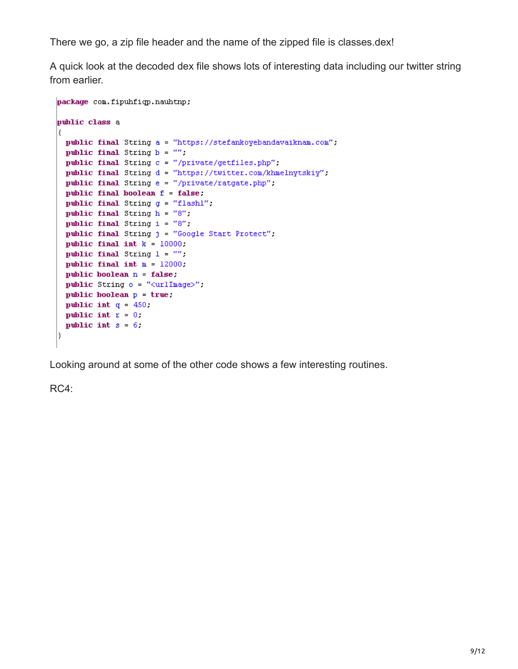There we go, a zip file header and the name of the zipped file is classes.dex!

A quick look at the decoded dex file shows lots of interesting data including our twitter string from earlier.

```
package com.fipuhfiqp.nauhtnp;
public class a
€
 public final String a = "https://stefankoyebandavaiknam.com";
 public final String b = \frac{mn}{n}.
  public final String c = "/private/getfiles.php";
  public final String d = "https://twitter.com/khmelnytskiy";
  public final String e = "/private/ratgate.php";
 public final boolean f = false;
 public final String g = "flashl":
 public final String h = "8";
 public final String i = "8".
 public final String j = "Google Start Protect".
 public final int k = 10000;
 public final String l = \frac{mn}{n}.
 public final int m = 12000;
 public boolean n = false;
 public String o = "curlImage?";
 public boolean p = true:public int q = 450.
 public int r = 0:
 public int s = 6.
D.
```
Looking around at some of the other code shows a few interesting routines.

RC4: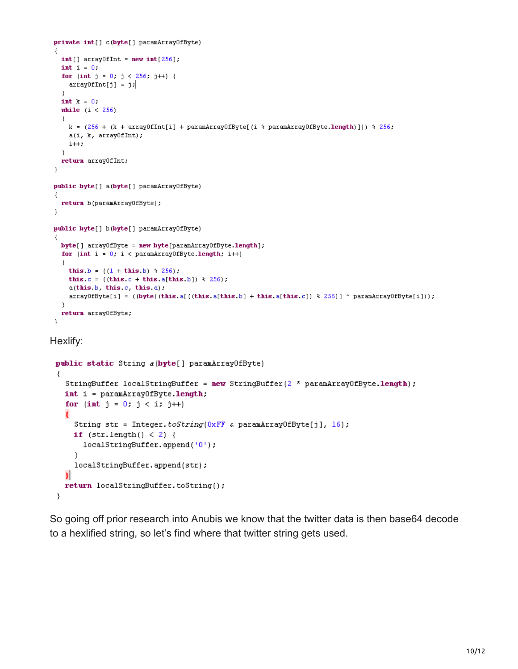```
private int[] c(byte[] paramArrayOfByte)
\left\{ \right.int[] array0fInt = new int[256]:
  int i = 0.
  for (int j = 0, j < 256, j++) {
   arrayOfInt[j] = jJ.
  int k = 0.
  while (i < 256)€
   k = (256 + (k + array0fInt[i] + paramArray0fByte[(i * paramArray0fByte.length)])) * 256;a(i, k, array0fInt);i++;
  \}return array0fInt;
-)
public byte[] a(byte[] paramArrayOfByte)
  return b(paramArrayOfByte);
y
public byte[] b(byte[] paramArrayOfByte)
€
  byte[] array0fByte = new byte[paramArray0fByte.length];
  for (int i = 0, i < paramArrayOfByte.length; i++)
  €
    this b = ((1 + this b) * 256);
    this c = ((this c + this a [this b]) * 256).
    a(this b, this c, this a);
    arrayOfByte[i] = ((byte)(this.a[((this.a[this.b] + this.a[this.c]) % 256)] ^ paramArrayOfByte[i]));
  \}return arrayOfByte;
3
```
Hexlify:

```
public static String a(byte[] paramArrayOfByte)
-6
  StringBuffer localStringBuffer = new StringBuffer(2 * paramArrayOfByte.length);
  int i = paramArrayOfByte.length:
  for (int j = 0; j < i; j++)€
    String str = Integer.toString(0xFF & paramArrayOfByte[j], 16);
    if (str.length() < 2) {
      localStringBuffer.append('0');
    \}localStringBuffer.append(str);
  Я
  return localStringBuffer.toString();
}
```
So going off prior research into Anubis we know that the twitter data is then base64 decode to a hexlified string, so let's find where that twitter string gets used.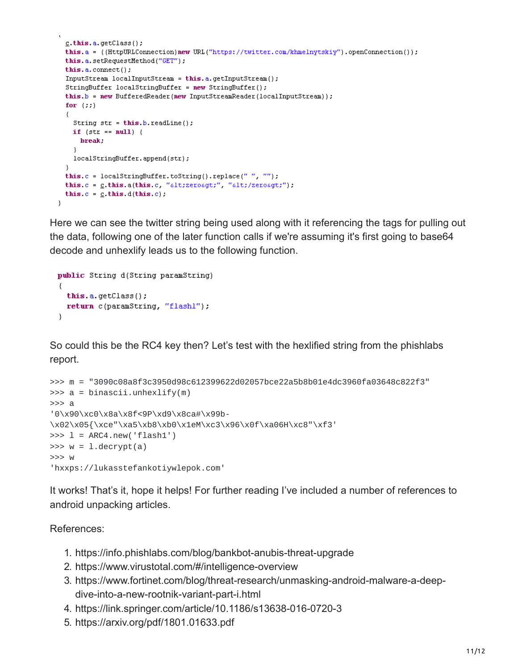```
c.this.a.getClass();
 this.a = ((HttpURLConnection)new URL("https://twitter.com/khmelnytskiy").openConnection());
 this a setRequestMethod("GET");
 this a, connect();
 InputStream localInputStream = this.a.getInputStream();
 \texttt{StringBuffer localStringBuffer} = \texttt{new StringBuffer}();this.b = new BufferedReader (new InputStreamReader (localInputStream));
  for (::)₹
   String str = this.b.readLine();
   if (str == null) {
     break:
   -3
   localStringBuffer.append(str);
  J.
 this c = localStringBuffer.toString().replace(" " " " " "this c = c this a(this c, "alt; zeroagt;", "alt; /zeroagt;");
  this c = c this d(this, c).
þ
```
Here we can see the twitter string being used along with it referencing the tags for pulling out the data, following one of the later function calls if we're assuming it's first going to base64 decode and unhexlify leads us to the following function.

```
public String d(String paramString)
₹
  this a getClass();
  return c(paramString, "flashl");
}
```
So could this be the RC4 key then? Let's test with the hexlified string from the phishlabs report.

```
>>> m = "3090c08a8f3c3950d98c612399622d02057bce22a5b8b01e4dc3960fa03648c822f3"
>>> a = binascii.unhexlify(m)
>>> a
'0\x90\xc0\x8a\x8f<9P\xd9\x8ca#\x99b-
\x02\x05{\xce"\xa5\xb8\xb0\x1eM\xc3\x96\x0f\xa06H\xc8"\xf3'
\Rightarrow \ge \frac{1}{1} = ARC4.new('flash1')
\Rightarrow w = 1. decrypt(a)
>>> w
'hxxps://lukasstefankotiywlepok.com'
```
It works! That's it, hope it helps! For further reading I've included a number of references to android unpacking articles.

## References:

- 1. https://info.phishlabs.com/blog/bankbot-anubis-threat-upgrade
- 2. https://www.virustotal.com/#/intelligence-overview
- 3. https://www.fortinet.com/blog/threat-research/unmasking-android-malware-a-deepdive-into-a-new-rootnik-variant-part-i.html
- 4. https://link.springer.com/article/10.1186/s13638-016-0720-3
- 5. https://arxiv.org/pdf/1801.01633.pdf